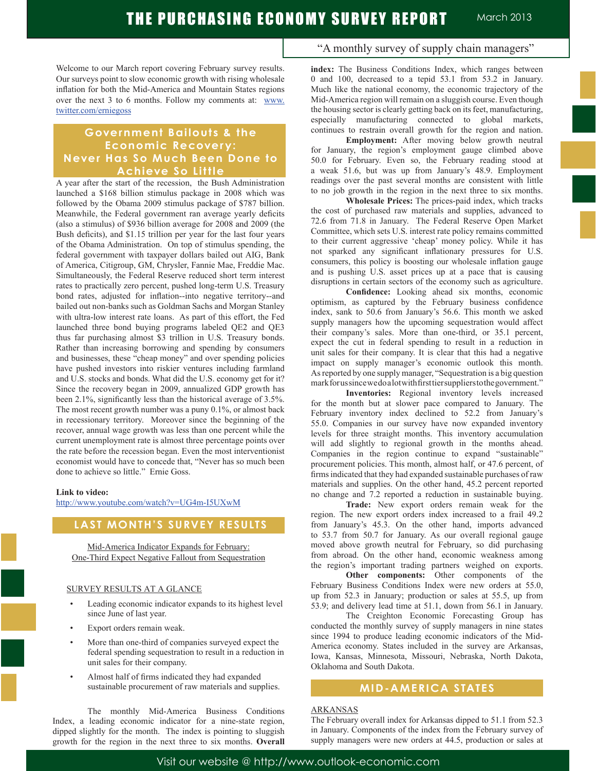Welcome to our March report covering February survey results. Our surveys point to slow economic growth with rising wholesale inflation for both the Mid-America and Mountain States regions over the next 3 to 6 months. Follow my comments at: www. twitter.com/erniegoss

### **Government Bailouts & the**  Economic Recovery: **Never Has So Much Been Done to Achieve So Little**

A year after the start of the recession, the Bush Administration launched a \$168 billion stimulus package in 2008 which was followed by the Obama 2009 stimulus package of \$787 billion. Meanwhile, the Federal government ran average yearly deficits (also a stimulus) of \$936 billion average for 2008 and 2009 (the Bush deficits), and \$1.15 trillion per year for the last four years of the Obama Administration. On top of stimulus spending, the federal government with taxpayer dollars bailed out AIG, Bank of America, Citigroup, GM, Chrysler, Fannie Mae, Freddie Mac. Simultaneously, the Federal Reserve reduced short term interest rates to practically zero percent, pushed long-term U.S. Treasury bond rates, adjusted for inflation--into negative territory--and bailed out non-banks such as Goldman Sachs and Morgan Stanley with ultra-low interest rate loans. As part of this effort, the Fed launched three bond buying programs labeled QE2 and QE3 thus far purchasing almost \$3 trillion in U.S. Treasury bonds. Rather than increasing borrowing and spending by consumers and businesses, these "cheap money" and over spending policies have pushed investors into riskier ventures including farmland and U.S. stocks and bonds. What did the U.S. economy get for it? Since the recovery began in 2009, annualized GDP growth has been 2.1%, significantly less than the historical average of 3.5%. The most recent growth number was a puny 0.1%, or almost back in recessionary territory. Moreover since the beginning of the recover, annual wage growth was less than one percent while the current unemployment rate is almost three percentage points over the rate before the recession began. Even the most interventionist economist would have to concede that, "Never has so much been done to achieve so little." Ernie Goss.

#### **Link to video:**

http://www.youtube.com/watch?v=UG4m-I5UXwM

### **LAST MONTH'S SURVEY RESULTS**

Mid-America Indicator Expands for February: One-Third Expect Negative Fallout from Sequestration

#### SURVEY RESULTS AT A GLANCE

- Leading economic indicator expands to its highest level since June of last year.
- Export orders remain weak.
- More than one-third of companies surveyed expect the federal spending sequestration to result in a reduction in unit sales for their company.
- Almost half of firms indicated they had expanded sustainable procurement of raw materials and supplies.

 The monthly Mid-America Business Conditions Index, a leading economic indicator for a nine-state region, dipped slightly for the month. The index is pointing to sluggish growth for the region in the next three to six months. **Overall** 

### "A monthly survey of supply chain managers"

**index:** The Business Conditions Index, which ranges between 0 and 100, decreased to a tepid 53.1 from 53.2 in January. Much like the national economy, the economic trajectory of the Mid-America region will remain on a sluggish course. Even though the housing sector is clearly getting back on its feet, manufacturing, especially manufacturing connected to global markets, continues to restrain overall growth for the region and nation.

**Employment:** After moving below growth neutral for January, the region's employment gauge climbed above 50.0 for February. Even so, the February reading stood at a weak 51.6, but was up from January's 48.9. Employment readings over the past several months are consistent with little to no job growth in the region in the next three to six months.

**Wholesale Prices:** The prices-paid index, which tracks the cost of purchased raw materials and supplies, advanced to 72.6 from 71.8 in January. The Federal Reserve Open Market Committee, which sets U.S. interest rate policy remains committed to their current aggressive 'cheap' money policy. While it has not sparked any significant inflationary pressures for U.S. consumers, this policy is boosting our wholesale inflation gauge and is pushing U.S. asset prices up at a pace that is causing disruptions in certain sectors of the economy such as agriculture.

**Confidence:** Looking ahead six months, economic optimism, as captured by the February business confidence index, sank to 50.6 from January's 56.6. This month we asked supply managers how the upcoming sequestration would affect their company's sales. More than one-third, or 35.1 percent, expect the cut in federal spending to result in a reduction in unit sales for their company. It is clear that this had a negative impact on supply manager's economic outlook this month. As reported by one supply manager, "Sequestration is a big question mark for us since we do a lot with first tier suppliers to the government."

**Inventories:** Regional inventory levels increased for the month but at slower pace compared to January. The February inventory index declined to 52.2 from January's 55.0. Companies in our survey have now expanded inventory levels for three straight months. This inventory accumulation will add slightly to regional growth in the months ahead. Companies in the region continue to expand "sustainable" procurement policies. This month, almost half, or 47.6 percent, of firms indicated that they had expanded sustainable purchases of raw materials and supplies. On the other hand, 45.2 percent reported no change and 7.2 reported a reduction in sustainable buying.

**Trade:** New export orders remain weak for the region. The new export orders index increased to a frail 49.2 from January's 45.3. On the other hand, imports advanced to 53.7 from 50.7 for January. As our overall regional gauge moved above growth neutral for February, so did purchasing from abroad. On the other hand, economic weakness among the region's important trading partners weighed on exports.

**Other components:** Other components of the February Business Conditions Index were new orders at 55.0, up from 52.3 in January; production or sales at 55.5, up from 53.9; and delivery lead time at 51.1, down from 56.1 in January.

 The Creighton Economic Forecasting Group has conducted the monthly survey of supply managers in nine states since 1994 to produce leading economic indicators of the Mid-America economy. States included in the survey are Arkansas, Iowa, Kansas, Minnesota, Missouri, Nebraska, North Dakota, Oklahoma and South Dakota.

### **MID-AMERICA STATES**

### ARKANSAS

The February overall index for Arkansas dipped to 51.1 from 52.3 in January. Components of the index from the February survey of supply managers were new orders at 44.5, production or sales at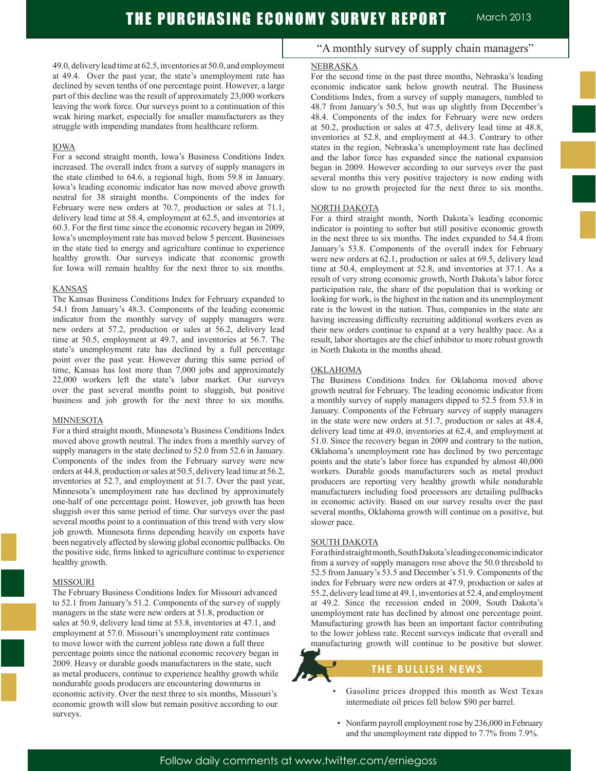49.0, delivery lead time at 62.5, inventories at 50.0, and employment at 49.4. Over the past year, the state's unemployment rate has declined by seven tenths of one percentage point. However, a large part of this decline was the result of approximately 23,000 workers leaving the work force. Our surveys point to a continuation of this weak hiring market, especially for smaller manufacturers as they struggle with impending mandates from healthcare reform.

#### IOWA

For a second straight month, Iowa's Business Conditions Index increased. The overall index from a survey of supply managers in the state climbed to 64.6, a regional high, from 59.8 in January. Iowa's leading economic indicator has now moved above growth neutral for 38 straight months. Components of the index for February were new orders at 70.7, production or sales at 71.1, delivery lead time at 58.4, employment at 62.5, and inventories at 60.3. For the first time since the economic recovery began in 2009, Iowa's unemployment rate has moved below 5 percent. Businesses in the state tied to energy and agriculture continue to experience healthy growth. Our surveys indicate that economic growth for Iowa will remain healthy for the next three to six months.

#### KANSAS

The Kansas Business Conditions Index for February expanded to 54.1 from January's 48.3. Components of the leading economic indicator from the monthly survey of supply managers were new orders at 57.2, production or sales at 56.2, delivery lead time at 50.5, employment at 49.7, and inventories at 56.7. The state's unemployment rate has declined by a full percentage point over the past year. However during this same period of time, Kansas has lost more than 7,000 jobs and approximately 22,000 workers left the state's labor market. Our surveys over the past several months point to sluggish, but positive business and job growth for the next three to six months.

#### MINNESOTA

For a third straight month, Minnesota's Business Conditions Index moved above growth neutral. The index from a monthly survey of supply managers in the state declined to 52.0 from 52.6 in January. Components of the index from the February survey were new orders at 44.8, production or sales at 50.5, delivery lead time at 56.2, inventories at 52.7, and employment at 51.7. Over the past year, Minnesota's unemployment rate has declined by approximately one-half of one percentage point. However, job growth has been sluggish over this same period of time. Our surveys over the past several months point to a continuation of this trend with very slow job growth. Minnesota firms depending heavily on exports have been negatively affected by slowing global economic pullbacks. On the positive side, firms linked to agriculture continue to experience healthy growth.

#### MISSOURI

The February Business Conditions Index for Missouri advanced to 52.1 from January's 51.2. Components of the survey of supply managers in the state were new orders at 51.8, production or sales at 50.9, delivery lead time at 53.8, inventories at 47.1, and employment at 57.0. Missouri's unemployment rate continues to move lower with the current jobless rate down a full three percentage points since the national economic recovery began in 2009. Heavy or durable goods manufacturers in the state, such as metal producers, continue to experience healthy growth while nondurable goods producers are encountering downturns in economic activity. Over the next three to six months, Missouri's economic growth will slow but remain positive according to our surveys.

## "A monthly survey of supply chain managers"

#### NEBRASKA

For the second time in the past three months, Nebraska's leading economic indicator sank below growth neutral. The Business Conditions Index, from a survey of supply managers, tumbled to 48.7 from January's 50.5, but was up slightly from December's 48.4. Components of the index for February were new orders at 50.2, production or sales at 47.5, delivery lead time at 48.8, inventories at 52.8, and employment at 44.3. Contrary to other states in the region, Nebraska's unemployment rate has declined and the labor force has expanded since the national expansion began in 2009. However according to our surveys over the past several months this very positive trajectory is now ending with slow to no growth projected for the next three to six months.

#### NORTH DAKOTA

For a third straight month, North Dakota's leading economic indicator is pointing to softer but still positive economic growth in the next three to six months. The index expanded to 54.4 from January's 53.8. Components of the overall index for February were new orders at 62.1, production or sales at 69.5, delivery lead time at 50.4, employment at 52.8, and inventories at 37.1. As a result of very strong economic growth, North Dakota's labor force participation rate, the share of the population that is working or looking for work, is the highest in the nation and its unemployment rate is the lowest in the nation. Thus, companies in the state are having increasing difficulty recruiting additional workers even as their new orders continue to expand at a very healthy pace. As a result, labor shortages are the chief inhibitor to more robust growth in North Dakota in the months ahead.

#### OKLAHOMA

The Business Conditions Index for Oklahoma moved above growth neutral for February. The leading economic indicator from a monthly survey of supply managers dipped to 52.5 from 53.8 in January. Components of the February survey of supply managers in the state were new orders at 51.7, production or sales at 48.4, delivery lead time at 49.0, inventories at 62.4, and employment at 51.0. Since the recovery began in 2009 and contrary to the nation, Oklahoma's unemployment rate has declined by two percentage points and the state's labor force has expanded by almost 40,000 workers. Durable goods manufacturers such as metal product producers are reporting very healthy growth while nondurable manufacturers including food processors are detailing pullbacks in economic activity. Based on our survey results over the past several months, Oklahoma growth will continue on a positive, but slower pace.

#### SOUTH DAKOTA

For a third straight month, South Dakota's leading economic indicator from a survey of supply managers rose above the 50.0 threshold to 52.5 from January's 53.5 and December's 51.9. Components of the index for February were new orders at 47.9, production or sales at 55.2, delivery lead time at 49.1, inventories at 52.4, and employment at 49.2. Since the recession ended in 2009, South Dakota's unemployment rate has declined by almost one percentage point. Manufacturing growth has been an important factor contributing to the lower jobless rate. Recent surveys indicate that overall and manufacturing growth will continue to be positive but slower.

## **THE BULLISH NEWS**

- Gasoline prices dropped this month as West Texas intermediate oil prices fell below \$90 per barrel.
- Nonfarm payroll employment rose by 236,000 in February and the unemployment rate dipped to 7.7% from 7.9%.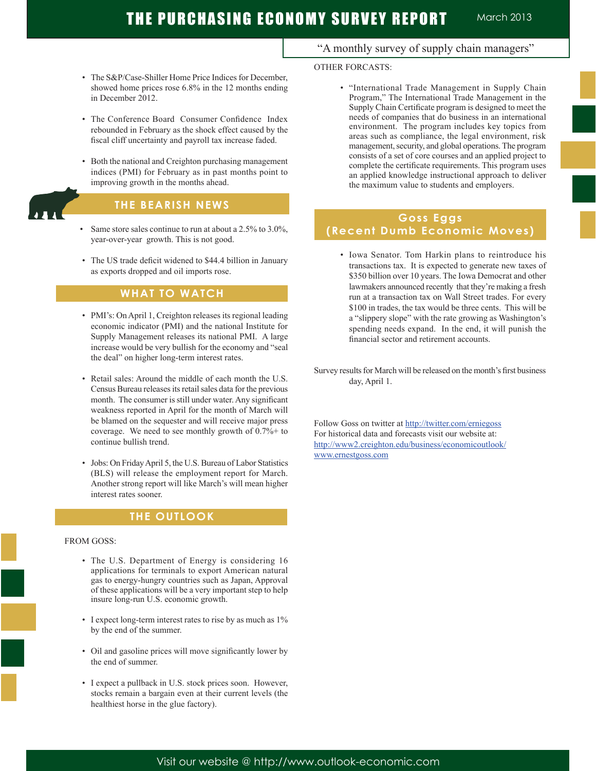# THE PURCHASING ECONOMY SURVEY REPORT March 2013

- The S&P/Case-Shiller Home Price Indices for December. showed home prices rose 6.8% in the 12 months ending in December 2012.
- The Conference Board Consumer Confidence Index rebounded in February as the shock effect caused by the fiscal cliff uncertainty and payroll tax increase faded.
- Both the national and Creighton purchasing management indices (PMI) for February as in past months point to improving growth in the months ahead.

# **THE BEARISH NEWS**

- Same store sales continue to run at about a 2.5% to 3.0%, year-over-year growth. This is not good.
- The US trade deficit widened to \$44.4 billion in January as exports dropped and oil imports rose.

### **WHAT TO WATCH**

- PMI's: On April 1, Creighton releases its regional leading economic indicator (PMI) and the national Institute for Supply Management releases its national PMI. A large increase would be very bullish for the economy and "seal the deal" on higher long-term interest rates.
- Retail sales: Around the middle of each month the U.S. Census Bureau releases its retail sales data for the previous month. The consumer is still under water. Any significant weakness reported in April for the month of March will be blamed on the sequester and will receive major press coverage. We need to see monthly growth of 0.7%+ to continue bullish trend.
- Jobs: On Friday April 5, the U.S. Bureau of Labor Statistics (BLS) will release the employment report for March. Another strong report will like March's will mean higher interest rates sooner.

### **THE OUTLOOK**

#### FROM GOSS:

Ī

- The U.S. Department of Energy is considering 16 applications for terminals to export American natural gas to energy-hungry countries such as Japan, Approval of these applications will be a very important step to help insure long-run U.S. economic growth.
- I expect long-term interest rates to rise by as much as 1% by the end of the summer.
- Oil and gasoline prices will move significantly lower by the end of summer.
- I expect a pullback in U.S. stock prices soon. However, stocks remain a bargain even at their current levels (the healthiest horse in the glue factory).

# "A monthly survey of supply chain managers"

### OTHER FORCASTS:

 • "International Trade Management in Supply Chain Program," The International Trade Management in the Supply Chain Certificate program is designed to meet the needs of companies that do business in an international environment. The program includes key topics from areas such as compliance, the legal environment, risk management, security, and global operations. The program consists of a set of core courses and an applied project to complete the certificate requirements. This program uses an applied knowledge instructional approach to deliver the maximum value to students and employers.

# **Goss Eggs (Recent Dumb Economic Moves)**

- Iowa Senator. Tom Harkin plans to reintroduce his transactions tax. It is expected to generate new taxes of \$350 billion over 10 years. The Iowa Democrat and other lawmakers announced recently that they're making a fresh run at a transaction tax on Wall Street trades. For every \$100 in trades, the tax would be three cents. This will be a "slippery slope" with the rate growing as Washington's spending needs expand. In the end, it will punish the financial sector and retirement accounts.
- Survey results for March will be released on the month's first business day, April 1.

Follow Goss on twitter at http://twitter.com/erniegoss For historical data and forecasts visit our website at: http://www2.creighton.edu/business/economicoutlook/ www.ernestgoss.com